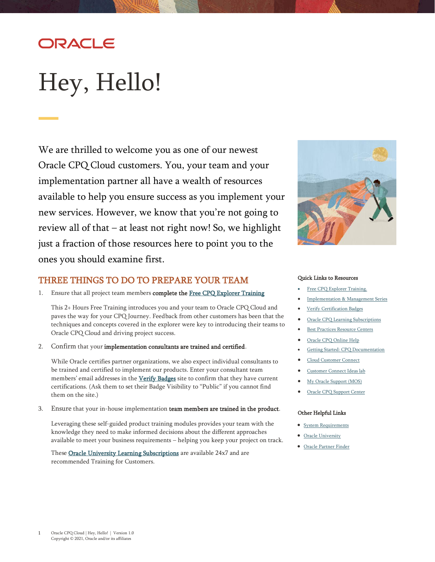## ORACLE

# <span id="page-0-0"></span>Hey, Hello!

We are thrilled to welcome you as one of our newest Oracle CPQ Cloud customers. You, your team and your implementation partner all have a wealth of resources available to help you ensure success as you implement your new services. However, we know that you're not going to review all of that – at least not right now! So, we highlight just a fraction of those resources here to point you to the ones you should examine first.

## THREE THINGS TO DO TO PREPARE YOUR TEAM

1. Ensure that all project team members complete the [Free CPQ Explorer Training](https://learn.oracle.com/ols/learning-path/configure-price-and-quote-cpq-explorer/45603/79862)

This 2+ Hours Free Training introduces you and your team to Oracle CPQ Cloud and paves the way for your CPQ Journey. Feedback from other customers has been that the techniques and concepts covered in the explorer were key to introducing their teams to Oracle CPQ Cloud and driving project success.

2. Confirm that your implementation consultants are trained and certified.

While Oracle certifies partner organizations, we also expect individual consultants to be trained and certified to implement our products. Enter your consultant team members' email addresses in the [Verify Badges](https://www.youracclaim.com/org/oracle/verify) site to confirm that they have current certifications. (Ask them to set their Badge Visibility to "Public" if you cannot find them on the site.)

3. Ensure that your in-house implementation team members are trained in the product.

Leveraging these self-guided product training modules provides your team with the knowledge they need to make informed decisions about the different approaches available to meet your business requirements – helping you keep your project on track.

These **Oracle University Learning Subscriptions** are available 24x7 and are recommended Training for Customers.



#### Quick Links to Resources

- [Free CPQ Explorer Training.](https://learn.oracle.com/ols/learning-path/configure-price-and-quote-cpq-explorer/45603/79862)
- Implementation & [Management Series](https://videohub.oracle.com/playlist/dedicated/209848853/1_jkmst6ge)
- [Verify Certification Badges](https://www.youracclaim.com/org/oracle/verify)
- [Oracle CPQ Learning Subscriptions](https://learn.oracle.com/ols/home/oracle-configure-price-and-quote-cpq-cloud-learning-subscription/45603)
- **[Best Practices Resource Centers](https://help.bigmachines.com/BMIHelp/Default.htm#BestPractices/BestPracticesOverview.htm%3FTocPath%3DBest%2520Practices%7C_____0)**
- [Oracle CPQ Online Help](https://help.bigmachines.com/BMIHelp/Default.htm)
- [Getting Started: CPQ Documentation](https://docs.oracle.com/en/cloud/saas/configure-price-quote/index.html)
- [Cloud Customer Connect](https://cloudcustomerconnect.oracle.com/pages/home)
- [Customer Connect Ideas lab](https://cloudcustomerconnect.oracle.com/resources/3995bcc816)
- [My Oracle Support \(MOS\)](https://support.oracle.com/)
- [Oracle CPQ Support Center](https://support.oracle.com/epmos/faces/DocumentDisplay?id=1642278.2)

#### Other Helpful Links

- [System Requirements](https://www.oracle.com/system-requirements/)
- [Oracle University](https://education.oracle.com/oracle-certification-path/pFamily_899)
- [Oracle Partner Finder](https://partner-finder.oracle.com/)